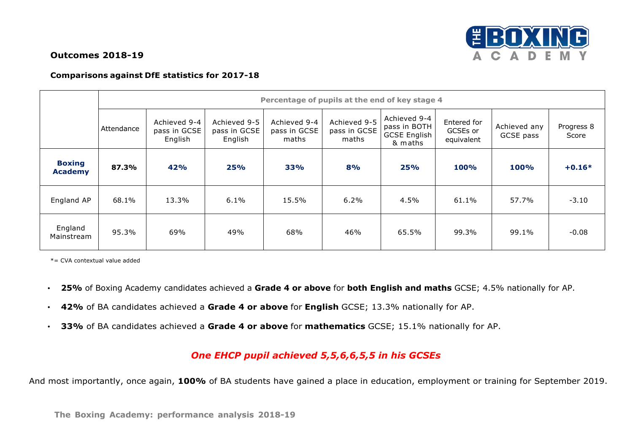## **Outcomes 2018-19**



## **Comparisons against DfE statistics for 2017-18**

|                                 | Percentage of pupils at the end of key stage 4 |                                         |                                         |                                       |                                       |                                                                |                                       |                           |                     |  |  |
|---------------------------------|------------------------------------------------|-----------------------------------------|-----------------------------------------|---------------------------------------|---------------------------------------|----------------------------------------------------------------|---------------------------------------|---------------------------|---------------------|--|--|
|                                 | Attendance                                     | Achieved 9-4<br>pass in GCSE<br>English | Achieved 9-5<br>pass in GCSE<br>English | Achieved 9-4<br>pass in GCSE<br>maths | Achieved 9-5<br>pass in GCSE<br>maths | Achieved 9-4<br>pass in BOTH<br><b>GCSE English</b><br>& maths | Entered for<br>GCSEs or<br>equivalent | Achieved any<br>GCSE pass | Progress 8<br>Score |  |  |
| <b>Boxing</b><br><b>Academy</b> | 87.3%                                          | 42%                                     | 25%                                     | <b>33%</b>                            | 8%                                    | 25%                                                            | <b>100%</b>                           | <b>100%</b>               | $+0.16*$            |  |  |
| England AP                      | 68.1%                                          | 13.3%                                   | 6.1%                                    | 15.5%                                 | 6.2%                                  | 4.5%                                                           | 61.1%                                 | 57.7%                     | $-3.10$             |  |  |
| England<br>Mainstream           | 95.3%                                          | 69%                                     | 49%                                     | 68%                                   | 46%                                   | 65.5%                                                          | 99.3%                                 | 99.1%                     | $-0.08$             |  |  |

\*= CVA contextual value added

- **25%** of Boxing Academy candidates achieved a **Grade 4 or above** for **both English and maths** GCSE; 4.5% nationally for AP.
- **42%** of BA candidates achieved a **Grade 4 or above** for **English** GCSE; 13.3% nationally for AP.
- **33%** of BA candidates achieved a **Grade 4 or above** for **mathematics** GCSE; 15.1% nationally for AP.

## *One EHCP pupil achieved 5,5,6,6,5,5 in his GCSEs*

And most importantly, once again, **100%** of BA students have gained a place in education, employment or training for September 2019.